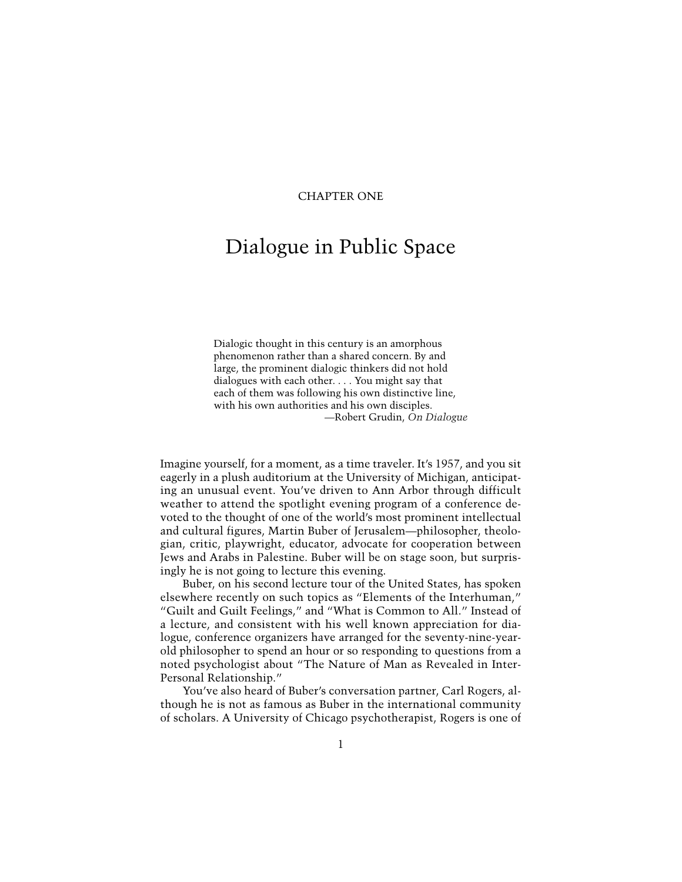# CHAPTER ONE

# Dialogue in Public Space

Dialogic thought in this century is an amorphous phenomenon rather than a shared concern. By and large, the prominent dialogic thinkers did not hold dialogues with each other. . . . You might say that each of them was following his own distinctive line, with his own authorities and his own disciples. —Robert Grudin, *On Dialogue*

Imagine yourself, for a moment, as a time traveler. It's 1957, and you sit eagerly in a plush auditorium at the University of Michigan, anticipating an unusual event. You've driven to Ann Arbor through difficult weather to attend the spotlight evening program of a conference devoted to the thought of one of the world's most prominent intellectual and cultural figures, Martin Buber of Jerusalem—philosopher, theologian, critic, playwright, educator, advocate for cooperation between Jews and Arabs in Palestine. Buber will be on stage soon, but surprisingly he is not going to lecture this evening.

Buber, on his second lecture tour of the United States, has spoken elsewhere recently on such topics as "Elements of the Interhuman," "Guilt and Guilt Feelings," and "What is Common to All." Instead of a lecture, and consistent with his well known appreciation for dialogue, conference organizers have arranged for the seventy-nine-yearold philosopher to spend an hour or so responding to questions from a noted psychologist about "The Nature of Man as Revealed in Inter-Personal Relationship."

You've also heard of Buber's conversation partner, Carl Rogers, although he is not as famous as Buber in the international community of scholars. A University of Chicago psychotherapist, Rogers is one of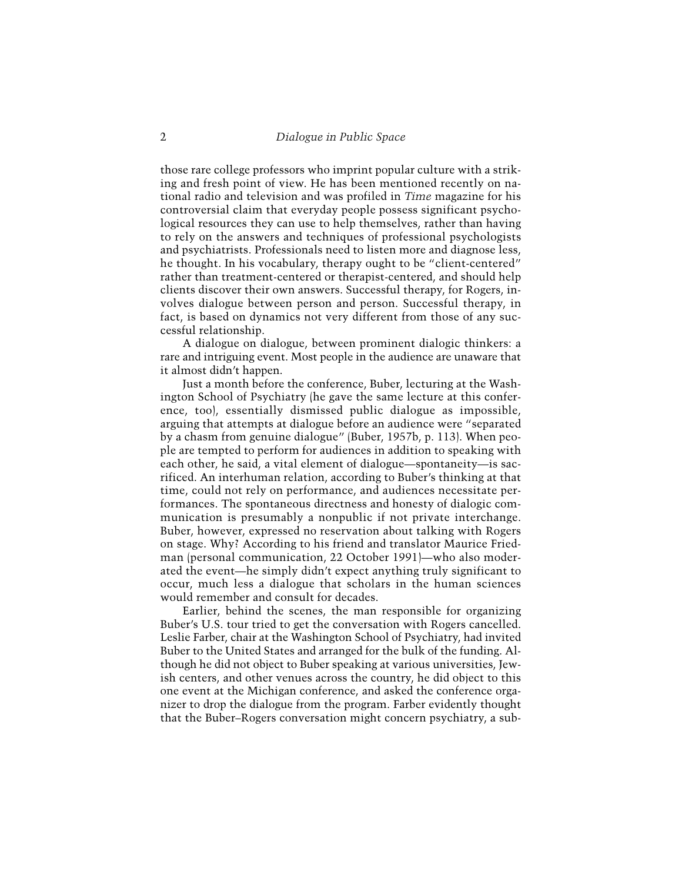those rare college professors who imprint popular culture with a striking and fresh point of view. He has been mentioned recently on national radio and television and was profiled in *Time* magazine for his controversial claim that everyday people possess significant psychological resources they can use to help themselves, rather than having to rely on the answers and techniques of professional psychologists and psychiatrists. Professionals need to listen more and diagnose less, he thought. In his vocabulary, therapy ought to be "client-centered" rather than treatment-centered or therapist-centered, and should help clients discover their own answers. Successful therapy, for Rogers, involves dialogue between person and person. Successful therapy, in fact, is based on dynamics not very different from those of any successful relationship.

A dialogue on dialogue, between prominent dialogic thinkers: a rare and intriguing event. Most people in the audience are unaware that it almost didn't happen.

Just a month before the conference, Buber, lecturing at the Washington School of Psychiatry (he gave the same lecture at this conference, too), essentially dismissed public dialogue as impossible, arguing that attempts at dialogue before an audience were "separated by a chasm from genuine dialogue" (Buber, 1957b, p. 113). When people are tempted to perform for audiences in addition to speaking with each other, he said, a vital element of dialogue—spontaneity—is sacrificed. An interhuman relation, according to Buber's thinking at that time, could not rely on performance, and audiences necessitate performances. The spontaneous directness and honesty of dialogic communication is presumably a nonpublic if not private interchange. Buber, however, expressed no reservation about talking with Rogers on stage. Why? According to his friend and translator Maurice Friedman (personal communication, 22 October 1991)—who also moderated the event—he simply didn't expect anything truly significant to occur, much less a dialogue that scholars in the human sciences would remember and consult for decades.

Earlier, behind the scenes, the man responsible for organizing Buber's U.S. tour tried to get the conversation with Rogers cancelled. Leslie Farber, chair at the Washington School of Psychiatry, had invited Buber to the United States and arranged for the bulk of the funding. Although he did not object to Buber speaking at various universities, Jewish centers, and other venues across the country, he did object to this one event at the Michigan conference, and asked the conference organizer to drop the dialogue from the program. Farber evidently thought that the Buber–Rogers conversation might concern psychiatry, a sub-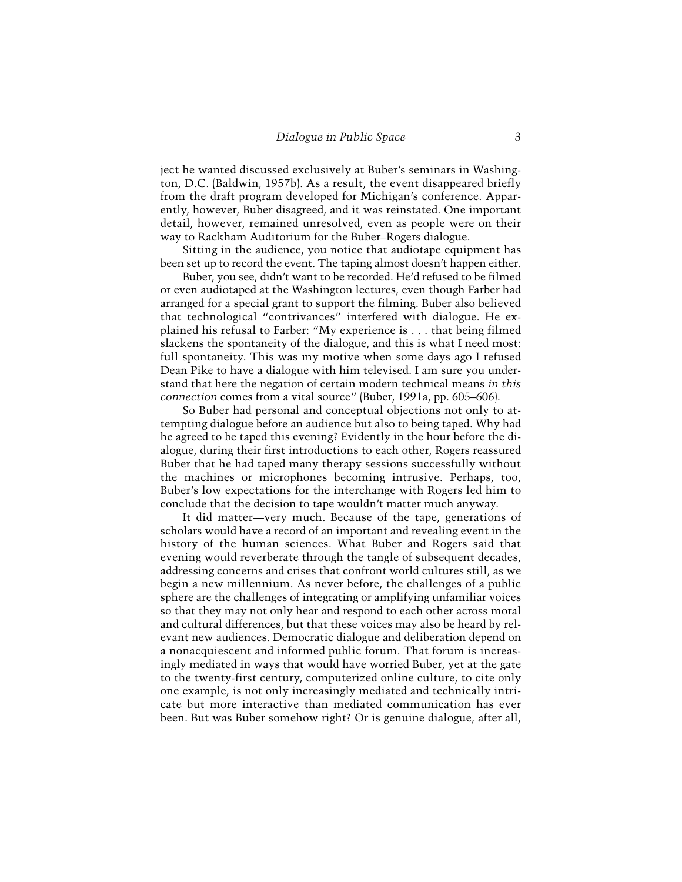ject he wanted discussed exclusively at Buber's seminars in Washington, D.C. (Baldwin, 1957b). As a result, the event disappeared briefly from the draft program developed for Michigan's conference. Apparently, however, Buber disagreed, and it was reinstated. One important detail, however, remained unresolved, even as people were on their way to Rackham Auditorium for the Buber–Rogers dialogue.

Sitting in the audience, you notice that audiotape equipment has been set up to record the event. The taping almost doesn't happen either.

Buber, you see, didn't want to be recorded. He'd refused to be filmed or even audiotaped at the Washington lectures, even though Farber had arranged for a special grant to support the filming. Buber also believed that technological "contrivances" interfered with dialogue. He explained his refusal to Farber: "My experience is . . . that being filmed slackens the spontaneity of the dialogue, and this is what I need most: full spontaneity. This was my motive when some days ago I refused Dean Pike to have a dialogue with him televised. I am sure you understand that here the negation of certain modern technical means *in this connection* comes from a vital source" (Buber, 1991a, pp. 605–606).

So Buber had personal and conceptual objections not only to attempting dialogue before an audience but also to being taped. Why had he agreed to be taped this evening? Evidently in the hour before the dialogue, during their first introductions to each other, Rogers reassured Buber that he had taped many therapy sessions successfully without the machines or microphones becoming intrusive. Perhaps, too, Buber's low expectations for the interchange with Rogers led him to conclude that the decision to tape wouldn't matter much anyway.

It did matter—very much. Because of the tape, generations of scholars would have a record of an important and revealing event in the history of the human sciences. What Buber and Rogers said that evening would reverberate through the tangle of subsequent decades, addressing concerns and crises that confront world cultures still, as we begin a new millennium. As never before, the challenges of a public sphere are the challenges of integrating or amplifying unfamiliar voices so that they may not only hear and respond to each other across moral and cultural differences, but that these voices may also be heard by relevant new audiences. Democratic dialogue and deliberation depend on a nonacquiescent and informed public forum. That forum is increasingly mediated in ways that would have worried Buber, yet at the gate to the twenty-first century, computerized online culture, to cite only one example, is not only increasingly mediated and technically intricate but more interactive than mediated communication has ever been. But was Buber somehow right? Or is genuine dialogue, after all,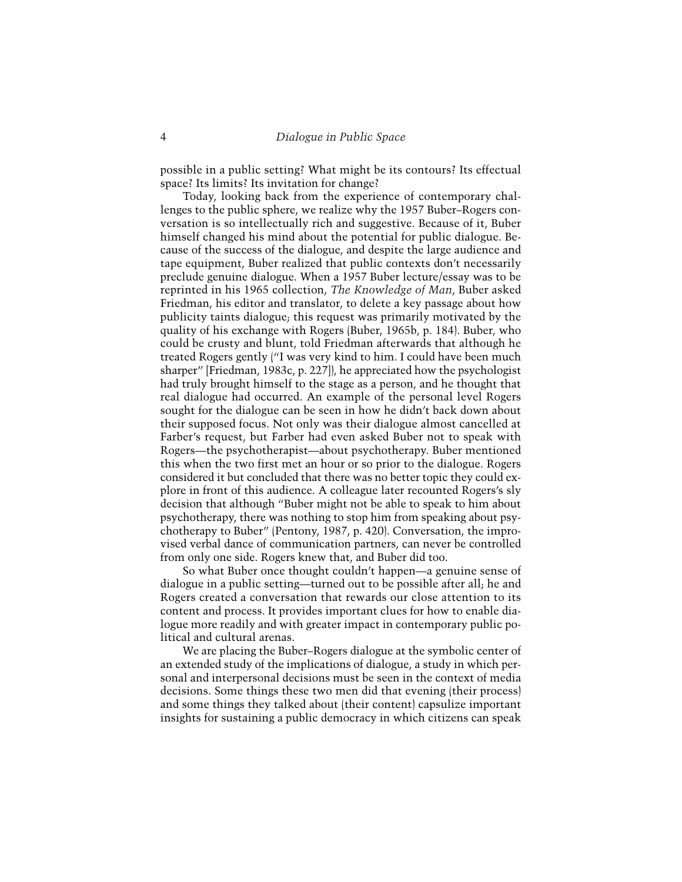possible in a public setting? What might be its contours? Its effectual space? Its limits? Its invitation for change?

Today, looking back from the experience of contemporary challenges to the public sphere, we realize why the 1957 Buber–Rogers conversation is so intellectually rich and suggestive. Because of it, Buber himself changed his mind about the potential for public dialogue. Because of the success of the dialogue, and despite the large audience and tape equipment, Buber realized that public contexts don't necessarily preclude genuine dialogue. When a 1957 Buber lecture/essay was to be reprinted in his 1965 collection, *The Knowledge of Man*, Buber asked Friedman, his editor and translator, to delete a key passage about how publicity taints dialogue; this request was primarily motivated by the quality of his exchange with Rogers (Buber, 1965b, p. 184). Buber, who could be crusty and blunt, told Friedman afterwards that although he treated Rogers gently ("I was very kind to him. I could have been much sharper" [Friedman, 1983c, p. 227]), he appreciated how the psychologist had truly brought himself to the stage as a person, and he thought that real dialogue had occurred. An example of the personal level Rogers sought for the dialogue can be seen in how he didn't back down about their supposed focus. Not only was their dialogue almost cancelled at Farber's request, but Farber had even asked Buber not to speak with Rogers—the psychotherapist—about psychotherapy. Buber mentioned this when the two first met an hour or so prior to the dialogue. Rogers considered it but concluded that there was no better topic they could explore in front of this audience. A colleague later recounted Rogers's sly decision that although "Buber might not be able to speak to him about psychotherapy, there was nothing to stop him from speaking about psychotherapy to Buber" (Pentony, 1987, p. 420). Conversation, the improvised verbal dance of communication partners, can never be controlled from only one side. Rogers knew that, and Buber did too.

So what Buber once thought couldn't happen—a genuine sense of dialogue in a public setting—turned out to be possible after all; he and Rogers created a conversation that rewards our close attention to its content and process. It provides important clues for how to enable dialogue more readily and with greater impact in contemporary public political and cultural arenas.

We are placing the Buber–Rogers dialogue at the symbolic center of an extended study of the implications of dialogue, a study in which personal and interpersonal decisions must be seen in the context of media decisions. Some things these two men did that evening (their process) and some things they talked about (their content) capsulize important insights for sustaining a public democracy in which citizens can speak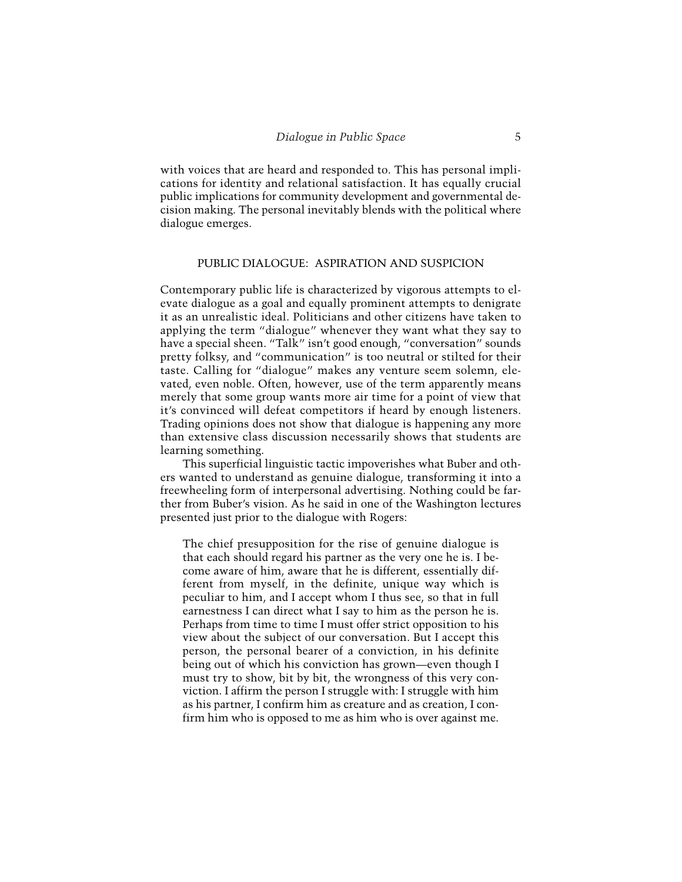with voices that are heard and responded to. This has personal implications for identity and relational satisfaction. It has equally crucial public implications for community development and governmental decision making. The personal inevitably blends with the political where dialogue emerges.

## PUBLIC DIALOGUE: ASPIRATION AND SUSPICION

Contemporary public life is characterized by vigorous attempts to elevate dialogue as a goal and equally prominent attempts to denigrate it as an unrealistic ideal. Politicians and other citizens have taken to applying the term "dialogue" whenever they want what they say to have a special sheen. "Talk" isn't good enough, "conversation" sounds pretty folksy, and "communication" is too neutral or stilted for their taste. Calling for "dialogue" makes any venture seem solemn, elevated, even noble. Often, however, use of the term apparently means merely that some group wants more air time for a point of view that it's convinced will defeat competitors if heard by enough listeners. Trading opinions does not show that dialogue is happening any more than extensive class discussion necessarily shows that students are learning something.

This superficial linguistic tactic impoverishes what Buber and others wanted to understand as genuine dialogue, transforming it into a freewheeling form of interpersonal advertising. Nothing could be farther from Buber's vision. As he said in one of the Washington lectures presented just prior to the dialogue with Rogers:

The chief presupposition for the rise of genuine dialogue is that each should regard his partner as the very one he is. I become aware of him, aware that he is different, essentially different from myself, in the definite, unique way which is peculiar to him, and I accept whom I thus see, so that in full earnestness I can direct what I say to him as the person he is. Perhaps from time to time I must offer strict opposition to his view about the subject of our conversation. But I accept this person, the personal bearer of a conviction, in his definite being out of which his conviction has grown—even though I must try to show, bit by bit, the wrongness of this very conviction. I affirm the person I struggle with: I struggle with him as his partner, I confirm him as creature and as creation, I confirm him who is opposed to me as him who is over against me.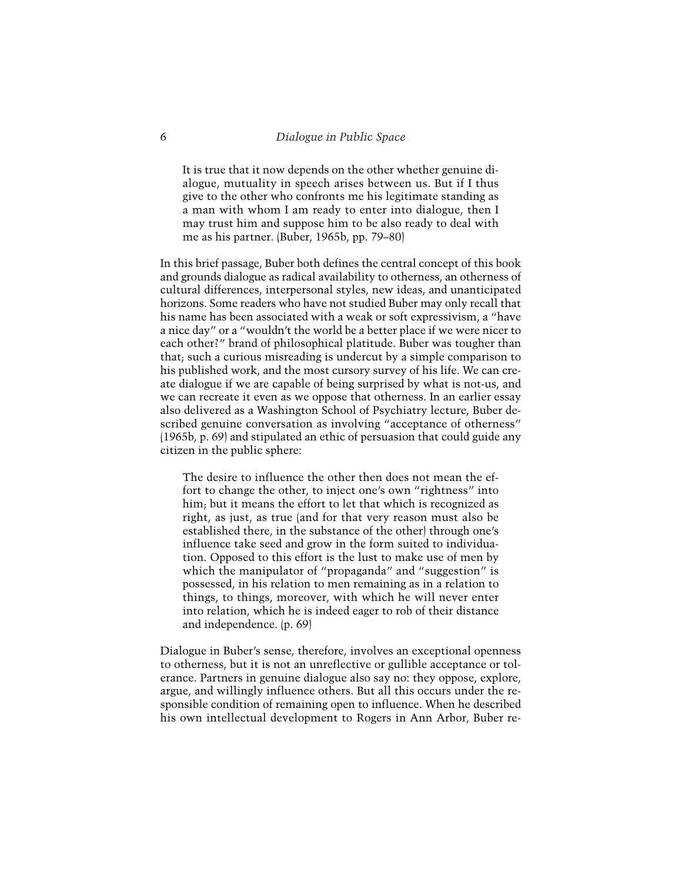It is true that it now depends on the other whether genuine dialogue, mutuality in speech arises between us. But if I thus give to the other who confronts me his legitimate standing as a man with whom I am ready to enter into dialogue, then I may trust him and suppose him to be also ready to deal with me as his partner. (Buber, 1965b, pp. 79–80)

In this brief passage, Buber both defines the central concept of this book and grounds dialogue as radical availability to otherness, an otherness of cultural differences, interpersonal styles, new ideas, and unanticipated horizons. Some readers who have not studied Buber may only recall that his name has been associated with a weak or soft expressivism, a "have a nice day" or a "wouldn't the world be a better place if we were nicer to each other?" brand of philosophical platitude. Buber was tougher than that; such a curious misreading is undercut by a simple comparison to his published work, and the most cursory survey of his life. We can create dialogue if we are capable of being surprised by what is not-us, and we can recreate it even as we oppose that otherness. In an earlier essay also delivered as a Washington School of Psychiatry lecture, Buber described genuine conversation as involving "acceptance of otherness" (1965b, p. 69) and stipulated an ethic of persuasion that could guide any citizen in the public sphere:

The desire to influence the other then does not mean the effort to change the other, to inject one's own "rightness" into him; but it means the effort to let that which is recognized as right, as just, as true (and for that very reason must also be established there, in the substance of the other) through one's influence take seed and grow in the form suited to individuation. Opposed to this effort is the lust to make use of men by which the manipulator of "propaganda" and "suggestion" is possessed, in his relation to men remaining as in a relation to things, to things, moreover, with which he will never enter into relation, which he is indeed eager to rob of their distance and independence. (p. 69)

Dialogue in Buber's sense, therefore, involves an exceptional openness to otherness, but it is not an unreflective or gullible acceptance or tolerance. Partners in genuine dialogue also say no: they oppose, explore, argue, and willingly influence others. But all this occurs under the responsible condition of remaining open to influence. When he described his own intellectual development to Rogers in Ann Arbor, Buber re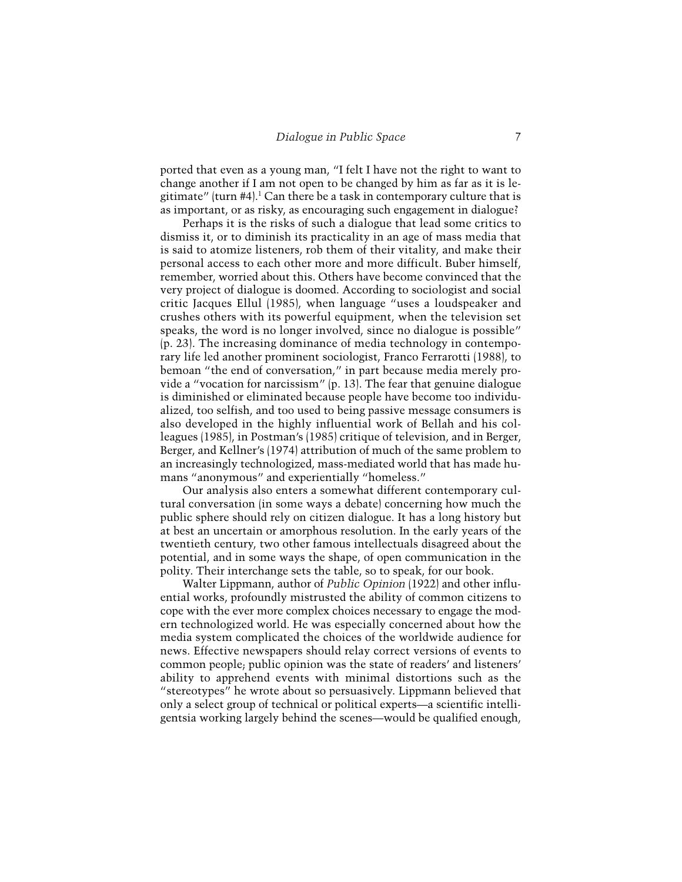ported that even as a young man, "I felt I have not the right to want to change another if I am not open to be changed by him as far as it is legitimate" (turn  $#4$ ).<sup>1</sup> Can there be a task in contemporary culture that is as important, or as risky, as encouraging such engagement in dialogue?

Perhaps it is the risks of such a dialogue that lead some critics to dismiss it, or to diminish its practicality in an age of mass media that is said to atomize listeners, rob them of their vitality, and make their personal access to each other more and more difficult. Buber himself, remember, worried about this. Others have become convinced that the very project of dialogue is doomed. According to sociologist and social critic Jacques Ellul (1985), when language "uses a loudspeaker and crushes others with its powerful equipment, when the television set speaks, the word is no longer involved, since no dialogue is possible" (p. 23). The increasing dominance of media technology in contemporary life led another prominent sociologist, Franco Ferrarotti (1988), to bemoan "the end of conversation," in part because media merely provide a "vocation for narcissism" (p. 13). The fear that genuine dialogue is diminished or eliminated because people have become too individualized, too selfish, and too used to being passive message consumers is also developed in the highly influential work of Bellah and his colleagues (1985), in Postman's (1985) critique of television, and in Berger, Berger, and Kellner's (1974) attribution of much of the same problem to an increasingly technologized, mass-mediated world that has made humans "anonymous" and experientially "homeless."

Our analysis also enters a somewhat different contemporary cultural conversation (in some ways a debate) concerning how much the public sphere should rely on citizen dialogue. It has a long history but at best an uncertain or amorphous resolution. In the early years of the twentieth century, two other famous intellectuals disagreed about the potential, and in some ways the shape, of open communication in the polity. Their interchange sets the table, so to speak, for our book.

Walter Lippmann, author of *Public Opinion* (1922) and other influential works, profoundly mistrusted the ability of common citizens to cope with the ever more complex choices necessary to engage the modern technologized world. He was especially concerned about how the media system complicated the choices of the worldwide audience for news. Effective newspapers should relay correct versions of events to common people; public opinion was the state of readers' and listeners' ability to apprehend events with minimal distortions such as the "stereotypes" he wrote about so persuasively. Lippmann believed that only a select group of technical or political experts—a scientific intelligentsia working largely behind the scenes—would be qualified enough,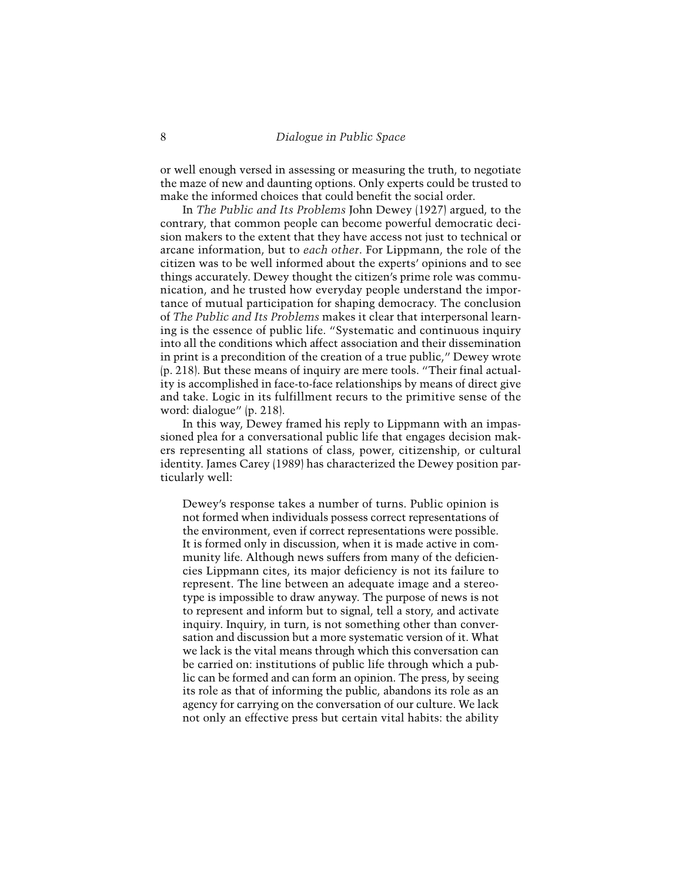or well enough versed in assessing or measuring the truth, to negotiate the maze of new and daunting options. Only experts could be trusted to make the informed choices that could benefit the social order.

In *The Public and Its Problems* John Dewey (1927) argued, to the contrary, that common people can become powerful democratic decision makers to the extent that they have access not just to technical or arcane information, but to *each other*. For Lippmann, the role of the citizen was to be well informed about the experts' opinions and to see things accurately. Dewey thought the citizen's prime role was communication, and he trusted how everyday people understand the importance of mutual participation for shaping democracy. The conclusion of *The Public and Its Problems* makes it clear that interpersonal learning is the essence of public life. "Systematic and continuous inquiry into all the conditions which affect association and their dissemination in print is a precondition of the creation of a true public," Dewey wrote (p. 218). But these means of inquiry are mere tools. "Their final actuality is accomplished in face-to-face relationships by means of direct give and take. Logic in its fulfillment recurs to the primitive sense of the word: dialogue" (p. 218).

In this way, Dewey framed his reply to Lippmann with an impassioned plea for a conversational public life that engages decision makers representing all stations of class, power, citizenship, or cultural identity. James Carey (1989) has characterized the Dewey position particularly well:

Dewey's response takes a number of turns. Public opinion is not formed when individuals possess correct representations of the environment, even if correct representations were possible. It is formed only in discussion, when it is made active in community life. Although news suffers from many of the deficiencies Lippmann cites, its major deficiency is not its failure to represent. The line between an adequate image and a stereotype is impossible to draw anyway. The purpose of news is not to represent and inform but to signal, tell a story, and activate inquiry. Inquiry, in turn, is not something other than conversation and discussion but a more systematic version of it. What we lack is the vital means through which this conversation can be carried on: institutions of public life through which a public can be formed and can form an opinion. The press, by seeing its role as that of informing the public, abandons its role as an agency for carrying on the conversation of our culture. We lack not only an effective press but certain vital habits: the ability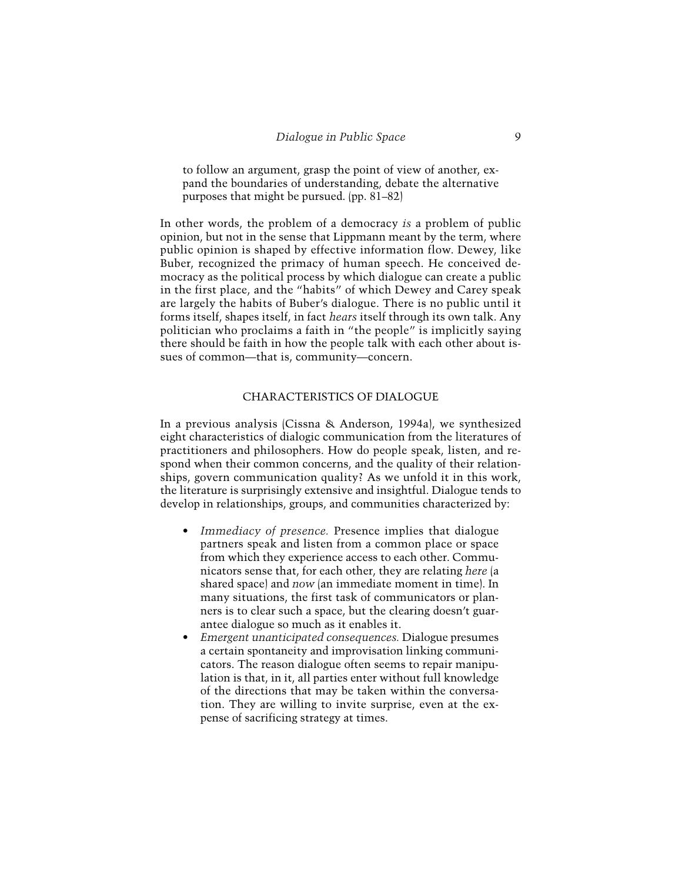to follow an argument, grasp the point of view of another, expand the boundaries of understanding, debate the alternative purposes that might be pursued. (pp. 81–82)

In other words, the problem of a democracy *is* a problem of public opinion, but not in the sense that Lippmann meant by the term, where public opinion is shaped by effective information flow. Dewey, like Buber, recognized the primacy of human speech. He conceived democracy as the political process by which dialogue can create a public in the first place, and the "habits" of which Dewey and Carey speak are largely the habits of Buber's dialogue. There is no public until it forms itself, shapes itself, in fact *hears* itself through its own talk. Any politician who proclaims a faith in "the people" is implicitly saying there should be faith in how the people talk with each other about issues of common—that is, community—concern.

## CHARACTERISTICS OF DIALOGUE

In a previous analysis (Cissna & Anderson, 1994a), we synthesized eight characteristics of dialogic communication from the literatures of practitioners and philosophers. How do people speak, listen, and respond when their common concerns, and the quality of their relationships, govern communication quality? As we unfold it in this work, the literature is surprisingly extensive and insightful. Dialogue tends to develop in relationships, groups, and communities characterized by:

- *Immediacy of presence.* Presence implies that dialogue partners speak and listen from a common place or space from which they experience access to each other. Communicators sense that, for each other, they are relating *here* (a shared space) and *now* (an immediate moment in time). In many situations, the first task of communicators or planners is to clear such a space, but the clearing doesn't guarantee dialogue so much as it enables it.
- *Emergent unanticipated consequences.* Dialogue presumes a certain spontaneity and improvisation linking communicators. The reason dialogue often seems to repair manipulation is that, in it, all parties enter without full knowledge of the directions that may be taken within the conversation. They are willing to invite surprise, even at the expense of sacrificing strategy at times.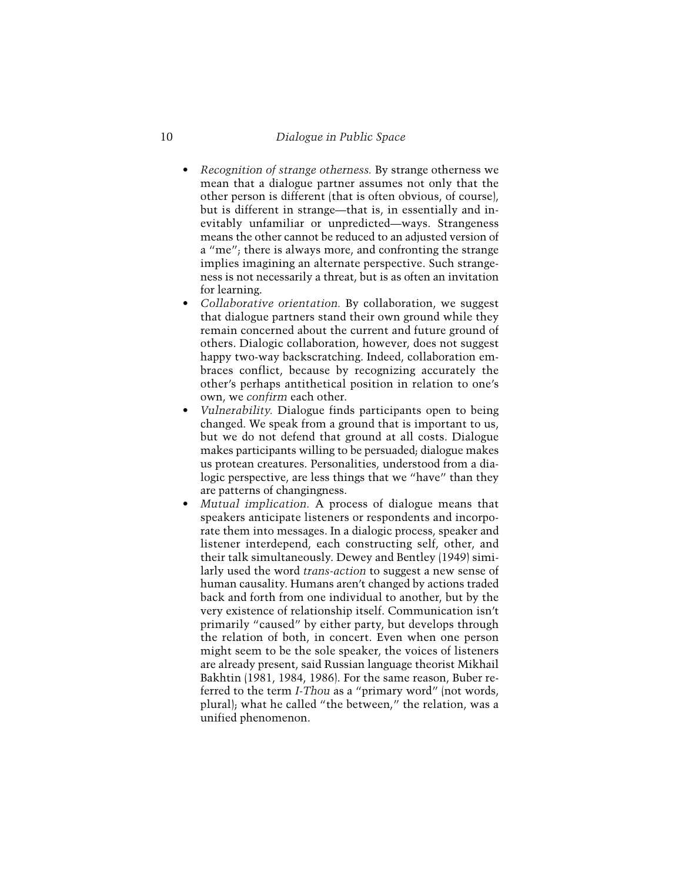- *Recognition of strange otherness.* By strange otherness we mean that a dialogue partner assumes not only that the other person is different (that is often obvious, of course), but is different in strange—that is, in essentially and inevitably unfamiliar or unpredicted—ways. Strangeness means the other cannot be reduced to an adjusted version of a "me"; there is always more, and confronting the strange implies imagining an alternate perspective. Such strangeness is not necessarily a threat, but is as often an invitation for learning.
- *Collaborative orientation.* By collaboration, we suggest that dialogue partners stand their own ground while they remain concerned about the current and future ground of others. Dialogic collaboration, however, does not suggest happy two-way backscratching. Indeed, collaboration embraces conflict, because by recognizing accurately the other's perhaps antithetical position in relation to one's own, we *confirm* each other.
- *Vulnerability.* Dialogue finds participants open to being changed. We speak from a ground that is important to us, but we do not defend that ground at all costs. Dialogue makes participants willing to be persuaded; dialogue makes us protean creatures. Personalities, understood from a dialogic perspective, are less things that we "have" than they are patterns of changingness.
- *Mutual implication.* A process of dialogue means that speakers anticipate listeners or respondents and incorporate them into messages. In a dialogic process, speaker and listener interdepend, each constructing self, other, and their talk simultaneously. Dewey and Bentley (1949) similarly used the word *trans-action* to suggest a new sense of human causality. Humans aren't changed by actions traded back and forth from one individual to another, but by the very existence of relationship itself. Communication isn't primarily "caused" by either party, but develops through the relation of both, in concert. Even when one person might seem to be the sole speaker, the voices of listeners are already present, said Russian language theorist Mikhail Bakhtin (1981, 1984, 1986). For the same reason, Buber referred to the term *I-Thou* as a "primary word" (not words, plural); what he called "the between," the relation, was a unified phenomenon.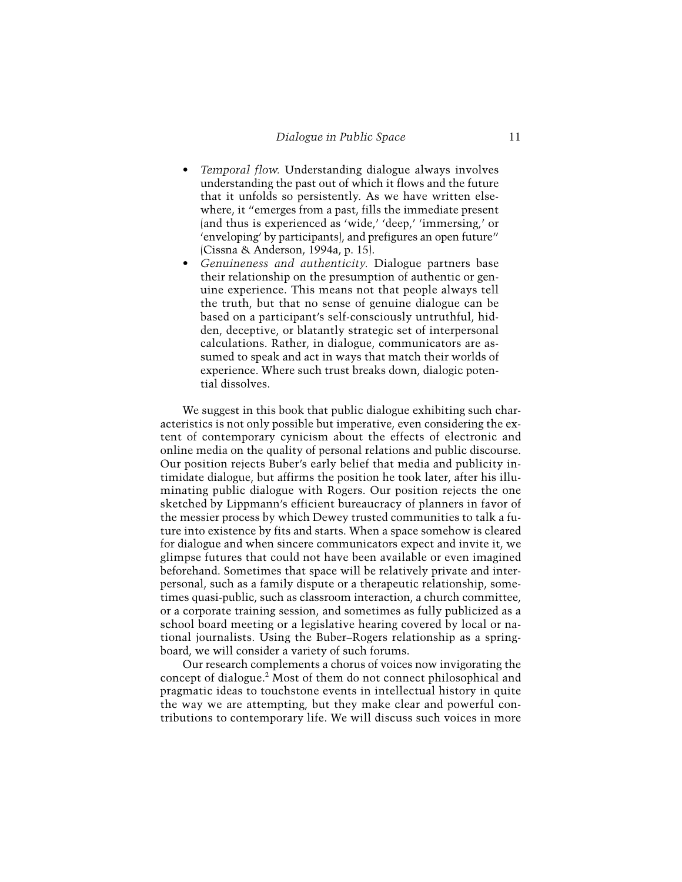- *Temporal flow.* Understanding dialogue always involves understanding the past out of which it flows and the future that it unfolds so persistently. As we have written elsewhere, it "emerges from a past, fills the immediate present (and thus is experienced as 'wide,' 'deep,' 'immersing,' or 'enveloping' by participants), and prefigures an open future" (Cissna & Anderson, 1994a, p. 15).
- *Genuineness and authenticity.* Dialogue partners base their relationship on the presumption of authentic or genuine experience. This means not that people always tell the truth, but that no sense of genuine dialogue can be based on a participant's self-consciously untruthful, hidden, deceptive, or blatantly strategic set of interpersonal calculations. Rather, in dialogue, communicators are assumed to speak and act in ways that match their worlds of experience. Where such trust breaks down, dialogic potential dissolves.

We suggest in this book that public dialogue exhibiting such characteristics is not only possible but imperative, even considering the extent of contemporary cynicism about the effects of electronic and online media on the quality of personal relations and public discourse. Our position rejects Buber's early belief that media and publicity intimidate dialogue, but affirms the position he took later, after his illuminating public dialogue with Rogers. Our position rejects the one sketched by Lippmann's efficient bureaucracy of planners in favor of the messier process by which Dewey trusted communities to talk a future into existence by fits and starts. When a space somehow is cleared for dialogue and when sincere communicators expect and invite it, we glimpse futures that could not have been available or even imagined beforehand. Sometimes that space will be relatively private and interpersonal, such as a family dispute or a therapeutic relationship, sometimes quasi-public, such as classroom interaction, a church committee, or a corporate training session, and sometimes as fully publicized as a school board meeting or a legislative hearing covered by local or national journalists. Using the Buber–Rogers relationship as a springboard, we will consider a variety of such forums.

Our research complements a chorus of voices now invigorating the concept of dialogue.2 Most of them do not connect philosophical and pragmatic ideas to touchstone events in intellectual history in quite the way we are attempting, but they make clear and powerful contributions to contemporary life. We will discuss such voices in more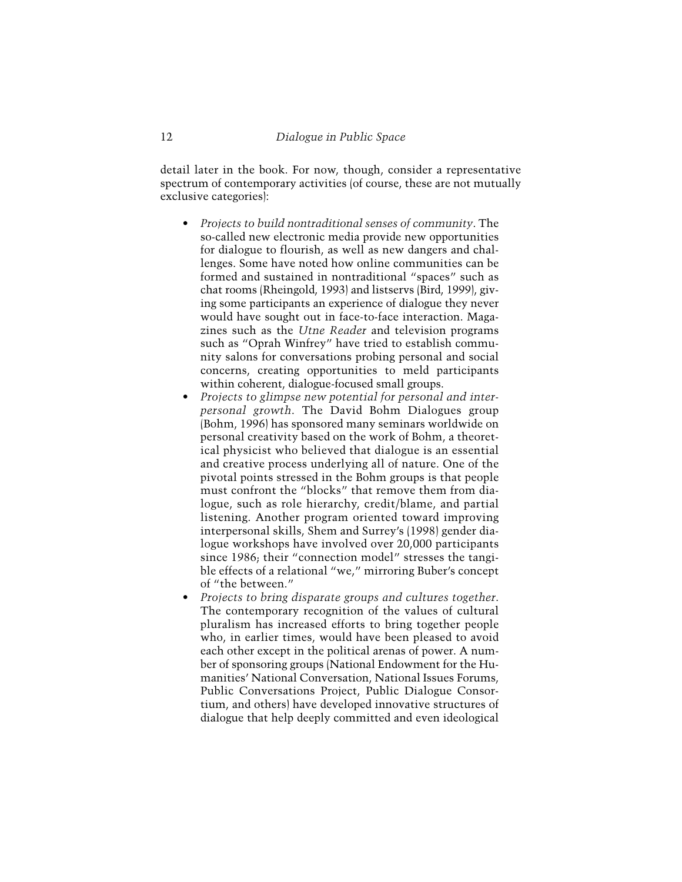detail later in the book. For now, though, consider a representative spectrum of contemporary activities (of course, these are not mutually exclusive categories):

- *Projects to build nontraditional senses of community*. The so-called new electronic media provide new opportunities for dialogue to flourish, as well as new dangers and challenges. Some have noted how online communities can be formed and sustained in nontraditional "spaces" such as chat rooms (Rheingold, 1993) and listservs (Bird, 1999), giving some participants an experience of dialogue they never would have sought out in face-to-face interaction. Magazines such as the *Utne Reader* and television programs such as "Oprah Winfrey" have tried to establish community salons for conversations probing personal and social concerns, creating opportunities to meld participants within coherent, dialogue-focused small groups.
- *Projects to glimpse new potential for personal and interpersonal growth*. The David Bohm Dialogues group (Bohm, 1996) has sponsored many seminars worldwide on personal creativity based on the work of Bohm, a theoretical physicist who believed that dialogue is an essential and creative process underlying all of nature. One of the pivotal points stressed in the Bohm groups is that people must confront the "blocks" that remove them from dialogue, such as role hierarchy, credit/blame, and partial listening. Another program oriented toward improving interpersonal skills, Shem and Surrey's (1998) gender dialogue workshops have involved over 20,000 participants since 1986; their "connection model" stresses the tangible effects of a relational "we," mirroring Buber's concept of "the between."
- *Projects to bring disparate groups and cultures together*. The contemporary recognition of the values of cultural pluralism has increased efforts to bring together people who, in earlier times, would have been pleased to avoid each other except in the political arenas of power. A number of sponsoring groups (National Endowment for the Humanities' National Conversation, National Issues Forums, Public Conversations Project, Public Dialogue Consortium, and others) have developed innovative structures of dialogue that help deeply committed and even ideological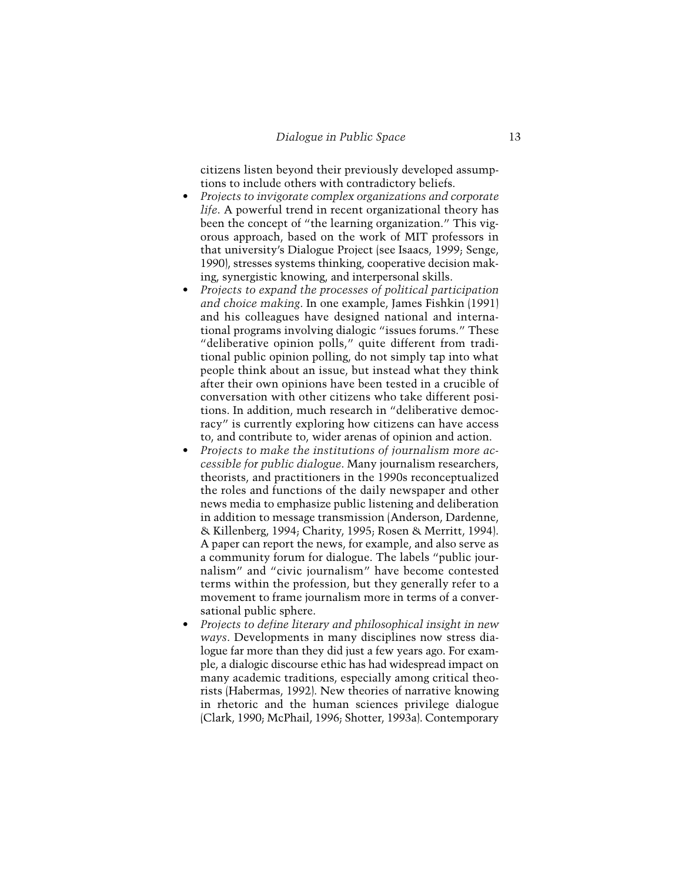citizens listen beyond their previously developed assumptions to include others with contradictory beliefs.

- *Projects to invigorate complex organizations and corporate life*. A powerful trend in recent organizational theory has been the concept of "the learning organization." This vigorous approach, based on the work of MIT professors in that university's Dialogue Project (see Isaacs, 1999; Senge, 1990), stresses systems thinking, cooperative decision making, synergistic knowing, and interpersonal skills.
- *Projects to expand the processes of political participation and choice making*. In one example, James Fishkin (1991) and his colleagues have designed national and international programs involving dialogic "issues forums." These "deliberative opinion polls," quite different from traditional public opinion polling, do not simply tap into what people think about an issue, but instead what they think after their own opinions have been tested in a crucible of conversation with other citizens who take different positions. In addition, much research in "deliberative democracy" is currently exploring how citizens can have access to, and contribute to, wider arenas of opinion and action.
- *Projects to make the institutions of journalism more accessible for public dialogue*. Many journalism researchers, theorists, and practitioners in the 1990s reconceptualized the roles and functions of the daily newspaper and other news media to emphasize public listening and deliberation in addition to message transmission (Anderson, Dardenne, & Killenberg, 1994; Charity, 1995; Rosen & Merritt, 1994). A paper can report the news, for example, and also serve as a community forum for dialogue. The labels "public journalism" and "civic journalism" have become contested terms within the profession, but they generally refer to a movement to frame journalism more in terms of a conversational public sphere.
- *Projects to define literary and philosophical insight in new ways*. Developments in many disciplines now stress dialogue far more than they did just a few years ago. For example, a dialogic discourse ethic has had widespread impact on many academic traditions, especially among critical theorists (Habermas, 1992). New theories of narrative knowing in rhetoric and the human sciences privilege dialogue (Clark, 1990; McPhail, 1996; Shotter, 1993a). Contemporary